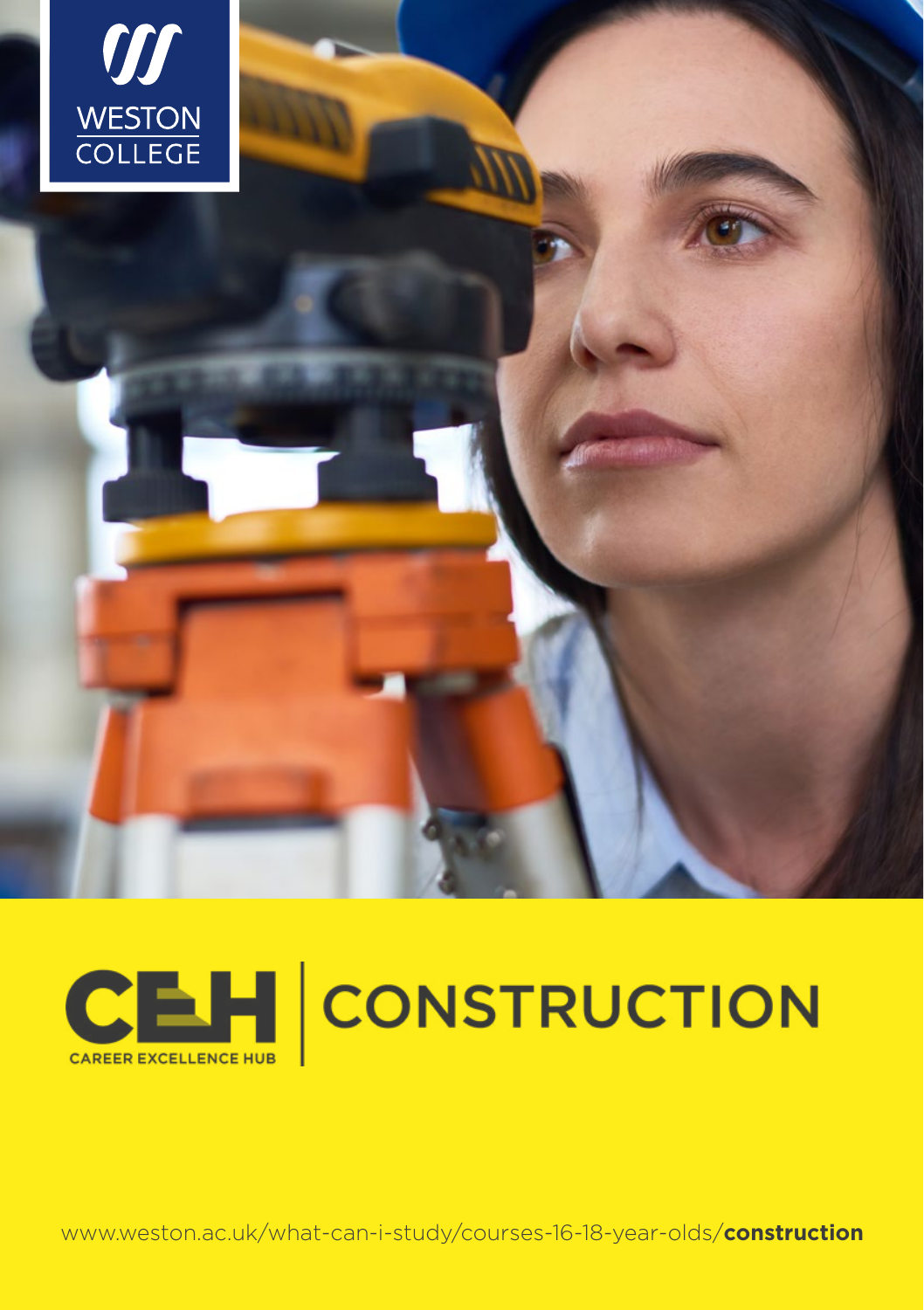



www.weston.ac.uk/what-can-i-study/courses-16-18-year-olds/construction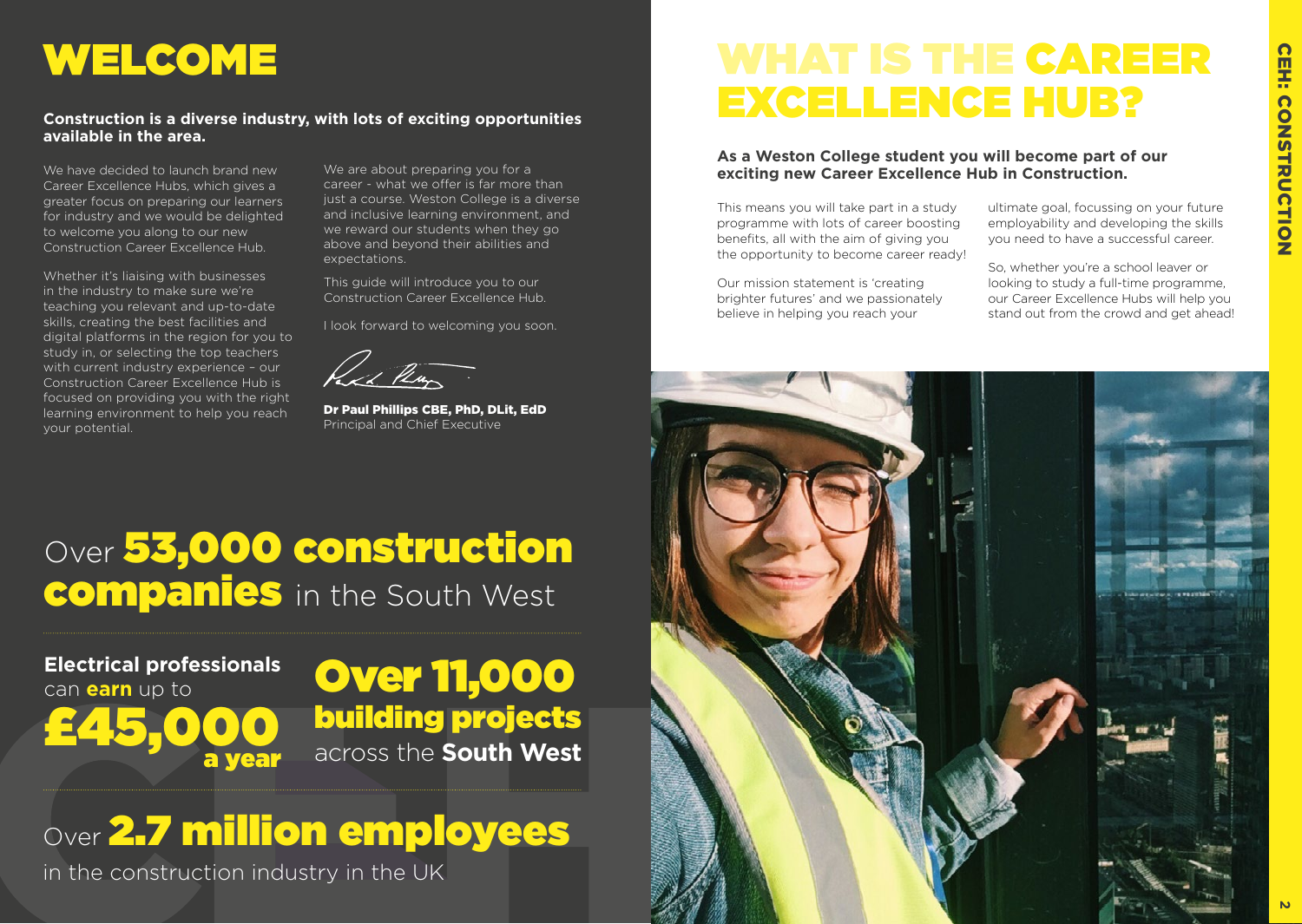# WELCOME

### **Construction is a diverse industry, with lots of exciting opportunities available in the area.**

We have decided to launch brand new Career Excellence Hubs, which gives a greater focus on preparing our learners for industry and we would be delighted to welcome you along to our new Construction Career Excellence Hub.

Whether it's liaising with businesses in the industry to make sure we're teaching you relevant and up-to-date skills, creating the best facilities and digital platforms in the region for you to study in, or selecting the top teachers with current industry experience – our Construction Career Excellence Hub is focused on providing you with the right learning environment to help you reach your potential.

We are about preparing you for a career - what we offer is far more than just a course. Weston College is a diverse and inclusive learning environment, and we reward our students when they go above and beyond their abilities and expectations.

This guide will introduce you to our Construction Career Excellence Hub.

I look forward to welcoming you soon.

Dr Paul Phillips CBE, PhD, DLit, EdD Principal and Chief Executive

# WHAT IS THE CAREER EXCELLENCE HUB?

**As a Weston College student you will become part of our exciting new Career Excellence Hub in Construction.** 

This means you will take part in a study programme with lots of career boosting benefits, all with the aim of giving you the opportunity to become career ready!

Our mission statement is 'creating brighter futures' and we passionately believe in helping you reach your

ultimate goal, focussing on your future employability and developing the skills you need to have a successful career.

So, whether you're a school leaver or looking to study a full-time programme, our Career Excellence Hubs will help you stand out from the crowd and get ahead!



# Over 53,000 construction companies in the South West

**Electrical professionals**  can **earn** up to £45,000

Over 11,000 building projects across the **South West**

# Over 2.7 million employees

in the construction industry in the UK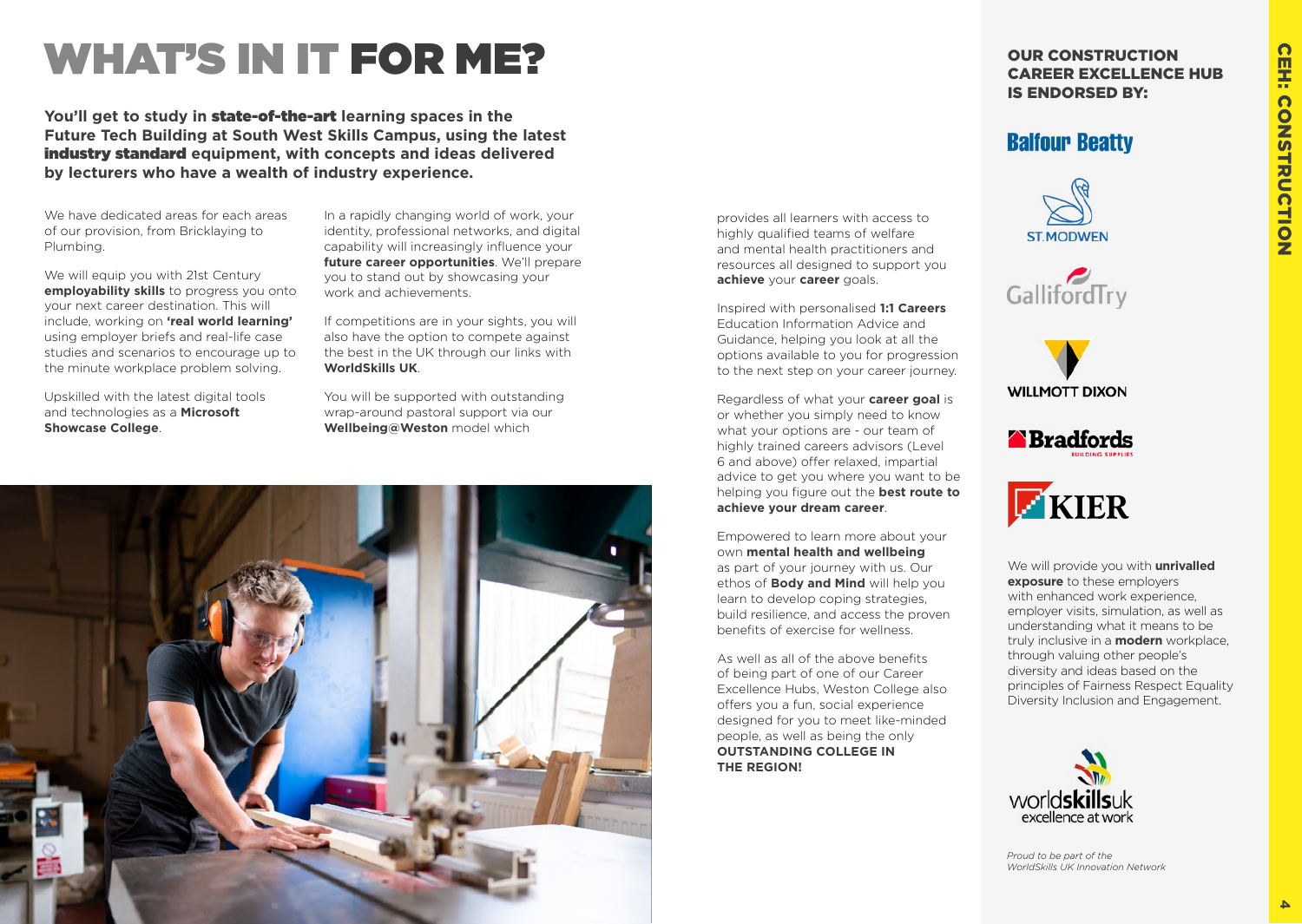# **CEH: CONSTRUCTION 4** CEH: CONSTRUCTION

# WHAT'S IN IT FOR ME?

**You'll get to study in** state-of-the-art **learning spaces in the Future Tech Building at South West Skills Campus, using the latest**  industry standard **equipment, with concepts and ideas delivered by lecturers who have a wealth of industry experience.** 

We have dedicated areas for each areas of our provision, from Bricklaying to Plumbing.

We will equip you with 21st Century **employability skills** to progress you onto your next career destination. This will include, working on **'real world learning'** using employer briefs and real-life case studies and scenarios to encourage up to the minute workplace problem solving.

Upskilled with the latest digital tools and technologies as a **Microsoft Showcase College**.

In a rapidly changing world of work, your identity, professional networks, and digital capability will increasingly influence your **future career opportunities**. We'll prepare you to stand out by showcasing your work and achievements.

If competitions are in your sights, you will also have the option to compete against the best in the UK through our links with **WorldSkills UK**.

You will be supported with outstanding wrap-around pastoral support via our **Wellbeing@Weston** model which



provides all learners with access to highly qualified teams of welfare and mental health practitioners and resources all designed to support you **achieve** your **career** goals.

Inspired with personalised **1:1 Careers** Education Information Advice and Guidance, helping you look at all the options available to you for progression to the next step on your career journey.

Regardless of what your **career goal** is or whether you simply need to know what your options are - our team of highly trained careers advisors (Level) 6 and above) offer relaxed, impartial advice to get you where you want to be helping you figure out the **best route to achieve your dream career**.

Empowered to learn more about your own **mental health and wellbeing** as part of your journey with us. Our ethos of **Body and Mind** will help you learn to develop coping strategies, build resilience, and access the proven benefits of exercise for wellness.

As well as all of the above benefits of being part of one of our Career Excellence Hubs, Weston College also offers you a fun, social experience designed for you to meet like-minded people, as well as being the only **OUTSTANDING COLLEGE IN THE REGION!**

OUR CONSTRUCTION CAREER EXCELLENCE HUB IS ENDORSED BY:

### **Balfour Beatty**











We will provide you with **unrivalled exposure** to these employers with enhanced work experience, employer visits, simulation, as well as understanding what it means to be truly inclusive in a **modern** workplace, through valuing other people's diversity and ideas based on the principles of Fairness Respect Equality Diversity Inclusion and Engagement.



*Proud to be part of the WorldSkills UK Innovation Network*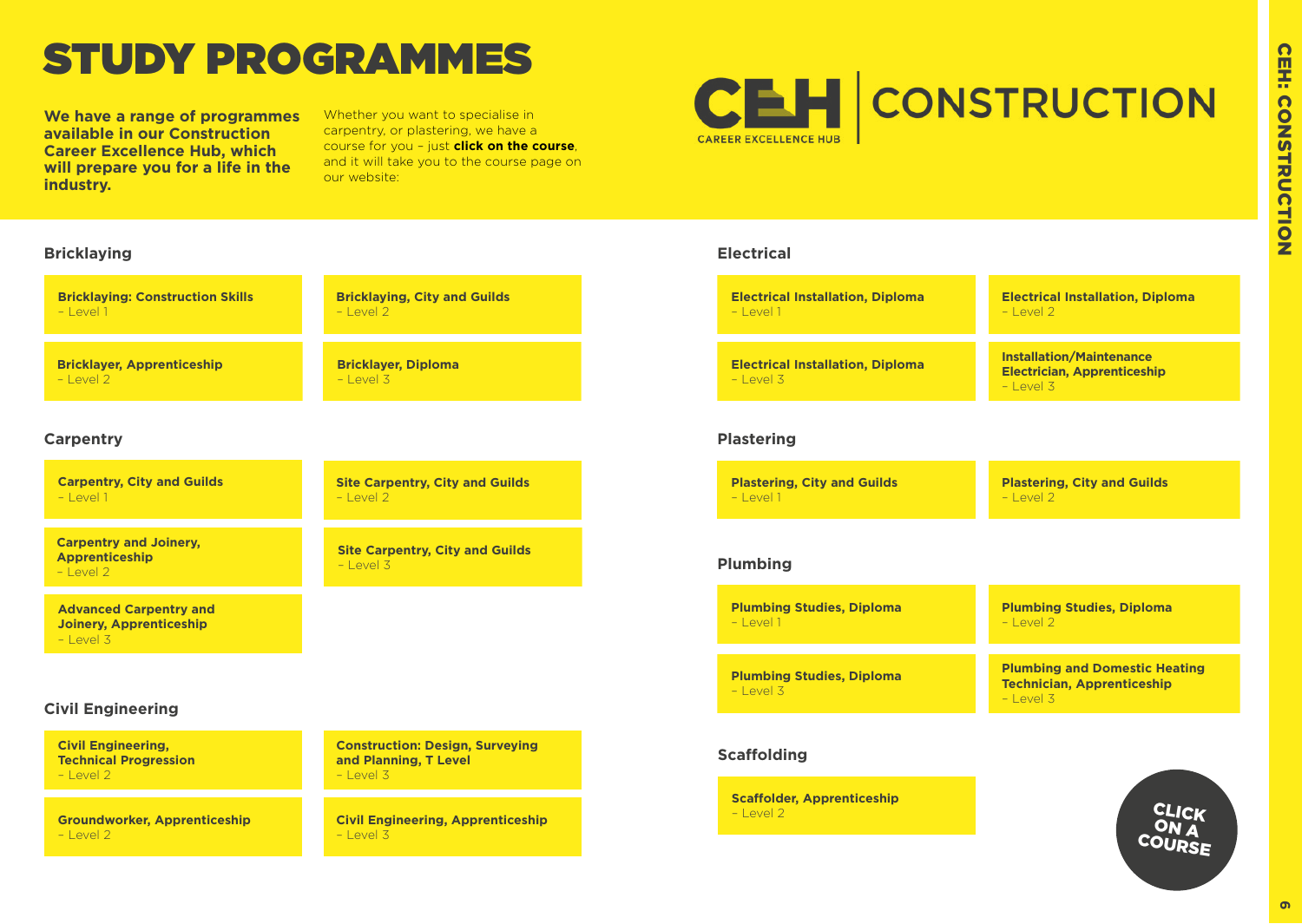# <span id="page-3-0"></span>STUDY PROGRAMMES

**We have a range of programmes available in our Construction Career Excellence Hub, which will prepare you for a life in the industry.**

Whether you want to specialise in carpentry, or plastering, we have a course for you – just **click on the course**, and it will take you to the course page on our website:



# **Bricklaying Electrical Bricklaying: Construction Skills Bricklaying, City and Guilds**   $-$  Level 2 **Bricklayer, Diploma**  – Level 3

### **Carpentry**

 $-$  Level 1

 $-$  Level 2

**Carpentry, City and Guilds**   $-$  Level 1

**Bricklayer, Apprenticeship** 

**Carpentry and Joinery, Apprenticeship**  – Level 2

**Advanced Carpentry and Joinery, Apprenticeship** – Level 3

### **Civil Engineering**

**Civil Engineering, Technical Progression**   $-$  Level 2

**Groundworker, Apprenticeship**  – Level 2

**Construction: Design, Surveying and Planning, T Level**   $-$  Level 3

**Site Carpentry, City and Guilds** 

**Site Carpentry, City and Guilds** 

– Level 3

– Level 2

**Civil Engineering, Apprenticeship**  – Level 3

| <b>Electrical Installation, Diploma</b>                | <b>Electrical Installation, Diploma</b>                                               |
|--------------------------------------------------------|---------------------------------------------------------------------------------------|
| $-$   evel 1                                           | $-$   evel 2                                                                          |
| <b>Electrical Installation, Diploma</b><br>$-$ Level 3 | <b>Installation/Maintenance</b><br><b>Electrician, Apprenticeship</b><br>$-$   evel 3 |

### **Plastering**

| <b>Plastering, City and Guilds</b> | <b>Plastering, City and Guilds</b> |
|------------------------------------|------------------------------------|
| – Level 1                          | $-$ Level 2                        |

### **Plumbing**

| <b>Plumbing Studies, Diploma</b><br>$-$   $\rho$ <sub>V</sub> $\rho$   1 | <b>Plumbing Studies, Diploma</b><br>$-$   evel 2                                                     |
|--------------------------------------------------------------------------|------------------------------------------------------------------------------------------------------|
|                                                                          |                                                                                                      |
| <b>Plumbing Studies, Diploma</b><br>$-$   $\rho v \rho$   3              | <b>Plumbing and Domestic Heating</b><br><b>Technician, Apprenticeship</b><br>$-$   $\rho_V \rho$   3 |

### **Scaffolding**

**Scaffolder, Apprenticeship** – Level 2

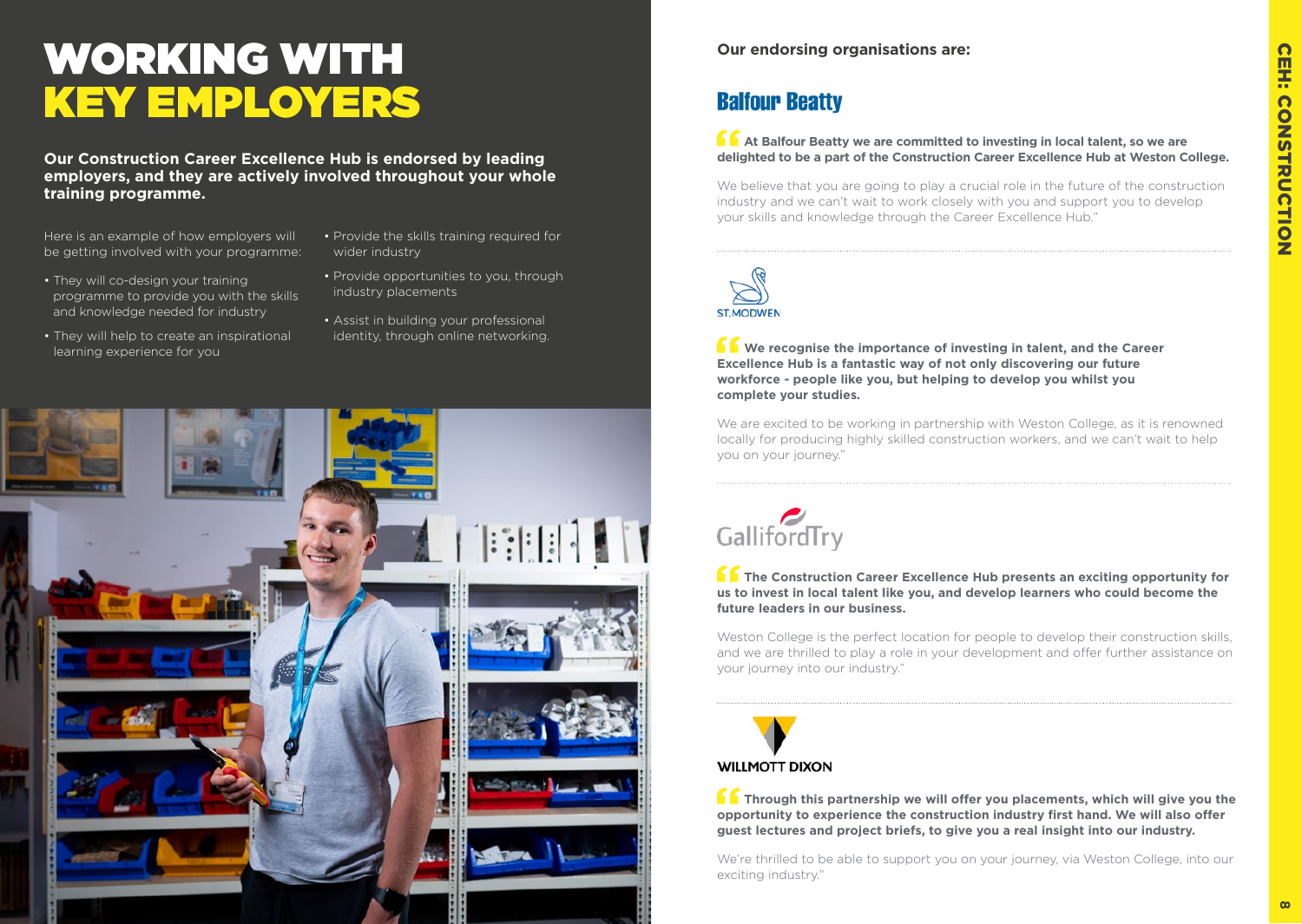# WORKING WITH KEY EMPLOYERS

**Our Construction Career Excellence Hub is endorsed by leading employers, and they are actively involved throughout your whole training programme.** 

Here is an example of how employers will be getting involved with your programme:

- They will co-design your training programme to provide you with the skills and knowledge needed for industry
- They will help to create an inspirational learning experience for you
- Provide the skills training required for wider industry
- Provide opportunities to you, through industry placements
- Assist in building your professional identity, through online networking.



# **Balfour Beatty**

**At Balfour Beatty we are committed to investing in local talent, so we are delighted to be a part of the Construction Career Excellence Hub at Weston College.** 

We believe that you are going to play a crucial role in the future of the construction industry and we can't wait to work closely with you and support you to develop your skills and knowledge through the Career Excellence Hub."



**K** We recognise the importance of investing in talent, and the Career **Excellence Hub is a fantastic way of not only discovering our future workforce - people like you, but helping to develop you whilst you complete your studies.**

We are excited to be working in partnership with Weston College, as it is renowned locally for producing highly skilled construction workers, and we can't wait to help you on your journey."

# GallifordTry

**The Construction Career Excellence Hub presents an exciting opportunity for us to invest in local talent like you, and develop learners who could become the future leaders in our business.**

Weston College is the perfect location for people to develop their construction skills, and we are thrilled to play a role in your development and offer further assistance on your journey into our industry."



**Through this partnership we will offer you placements, which will give you the opportunity to experience the construction industry first hand. We will also offer guest lectures and project briefs, to give you a real insight into our industry.**

We're thrilled to be able to support you on your journey, via Weston College, into our exciting industry."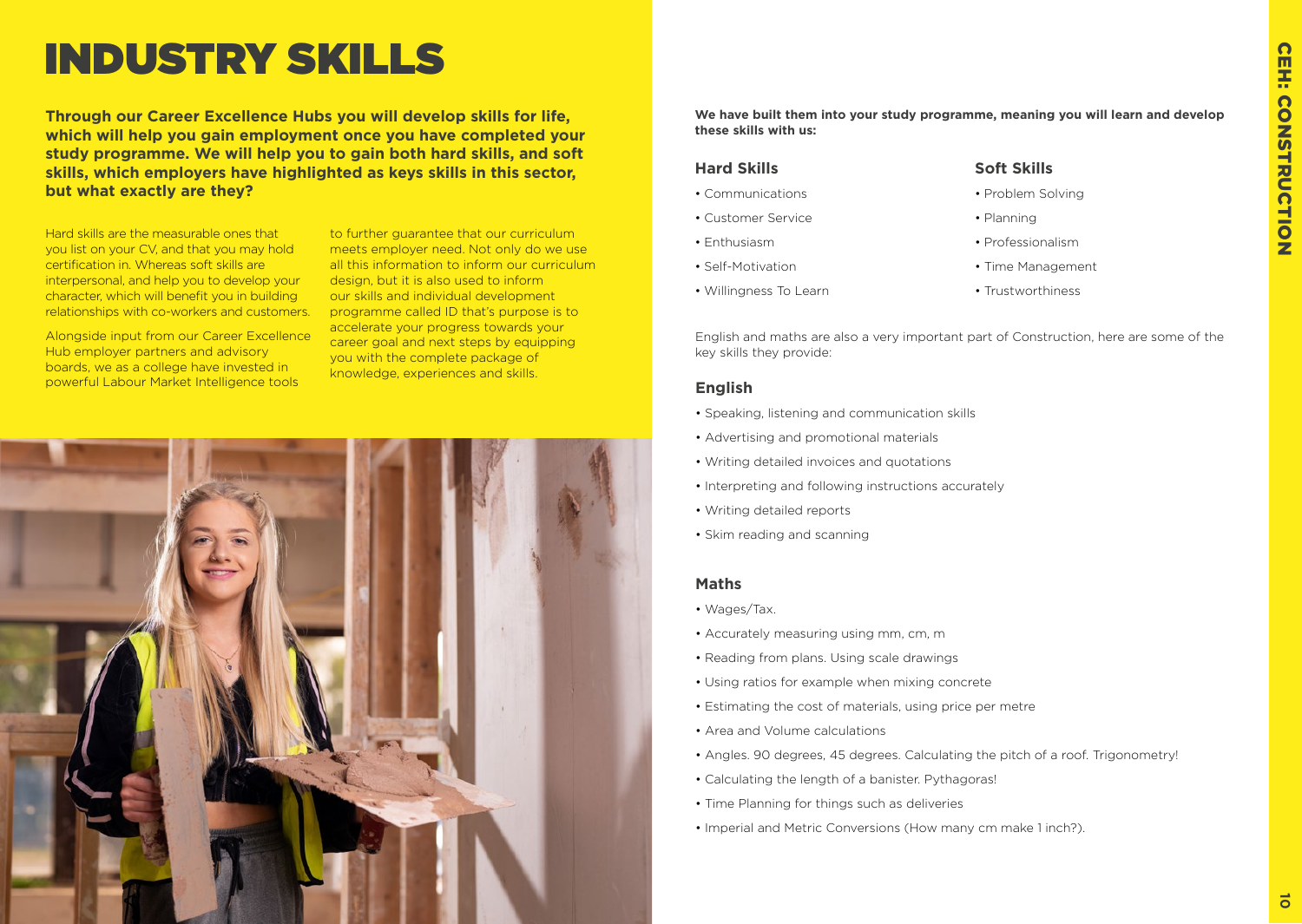# INDUSTRY SKILLS

**Through our Career Excellence Hubs you will develop skills for life, which will help you gain employment once you have completed your study programme. We will help you to gain both hard skills, and soft skills, which employers have highlighted as keys skills in this sector, but what exactly are they?**

Hard skills are the measurable ones that you list on your CV, and that you may hold certification in. Whereas soft skills are interpersonal, and help you to develop your character, which will benefit you in building relationships with co-workers and customers.

Alongside input from our Career Excellence Hub employer partners and advisory boards, we as a college have invested in powerful Labour Market Intelligence tools

to further guarantee that our curriculum meets employer need. Not only do we use all this information to inform our curriculum design, but it is also used to inform our skills and individual development programme called ID that's purpose is to accelerate your progress towards your career goal and next steps by equipping you with the complete package of knowledge, experiences and skills.



**We have built them into your study programme, meaning you will learn and develop these skills with us:**

### **Hard Skills**

- Communications
- Customer Service
- Enthusiasm
- Self-Motivation
- Willingness To Learn

### **Soft Skills**

• Planning

- Problem Solving
- Professionalism
- Time Management
- Trustworthiness

English and maths are also a very important part of Construction, here are some of the key skills they provide:

### **English**

- Speaking, listening and communication skills
- Advertising and promotional materials
- Writing detailed invoices and quotations
- Interpreting and following instructions accurately
- Writing detailed reports
- Skim reading and scanning

### **Maths**

- Wages/Tax.
- Accurately measuring using mm, cm, m
- Reading from plans. Using scale drawings
- Using ratios for example when mixing concrete
- Estimating the cost of materials, using price per metre
- Area and Volume calculations
- Angles. 90 degrees, 45 degrees. Calculating the pitch of a roof. Trigonometry!
- Calculating the length of a banister. Pythagoras!
- Time Planning for things such as deliveries
- Imperial and Metric Conversions (How many cm make 1 inch?).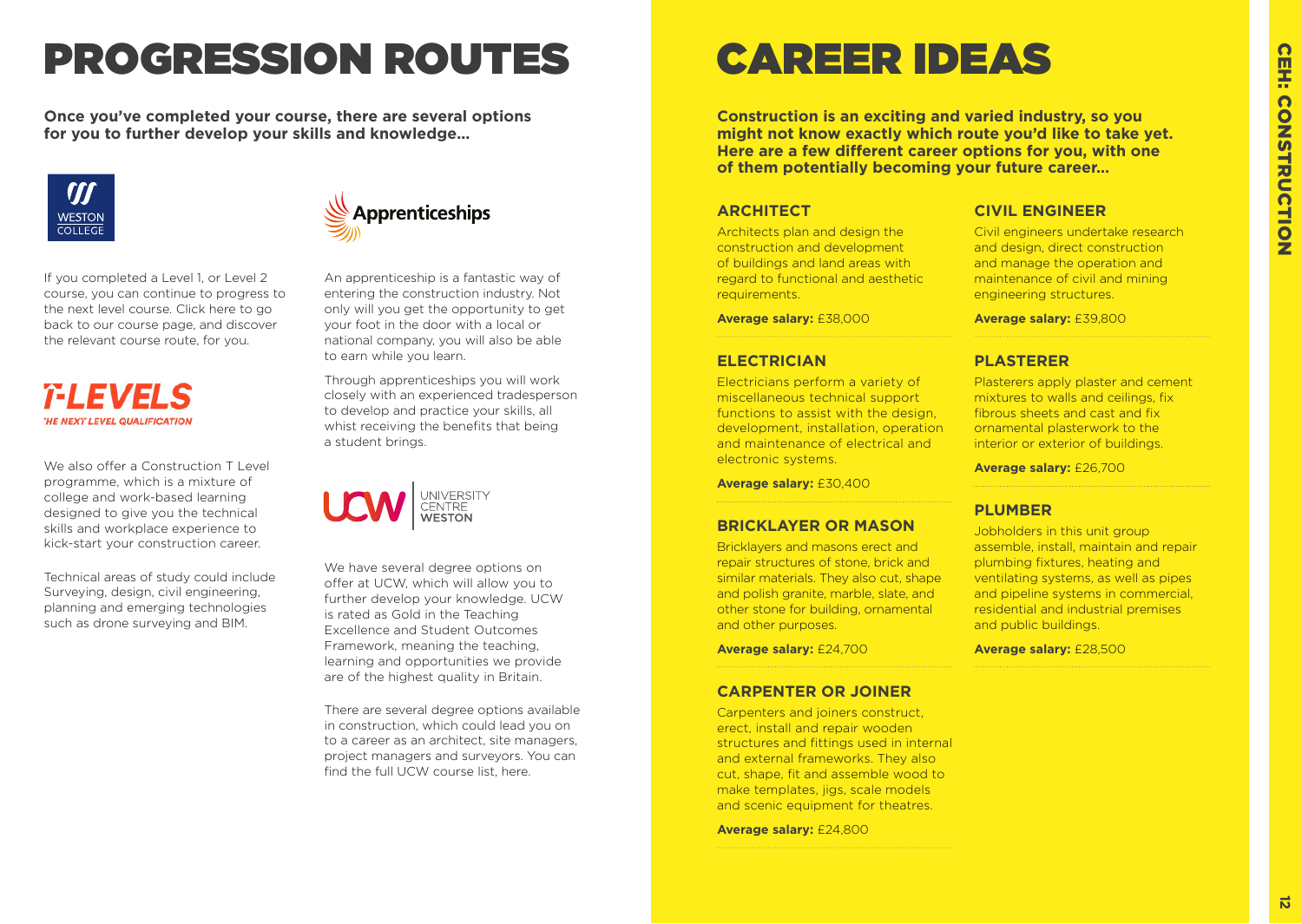# PROGRESSION ROUTES CAREER IDEAS

**Once you've completed your course, there are several options for you to further develop your skills and knowledge...**



If you completed a Level 1, or Level 2 course, you can continue to progress to the next level course. Click [here](#page-3-0) to go back to our course page, and discover the relevant course route, for you.

### *T-LEVELS* **HE NEXT LEVEL QUALIFICATION**

We also offer a Construction T Level programme, which is a mixture of college and work-based learning designed to give you the technical skills and workplace experience to kick-start your construction career.

Technical areas of study could include Surveying, design, civil engineering, planning and emerging technologies such as drone surveying and BIM.



An apprenticeship is a fantastic way of entering the construction industry. Not only will you get the opportunity to get your foot in the door with a local or national company, you will also be able to earn while you learn.

Through apprenticeships you will work closely with an experienced tradesperson to develop and practice your skills, all whist receiving the benefits that being a student brings.



We have several degree options on offer at UCW, which will allow you to further develop your knowledge. UCW is rated as Gold in the Teaching Excellence and Student Outcomes Framework, meaning the teaching, learning and opportunities we provide are of the highest quality in Britain.

There are several degree options available in construction, which could lead you on to a career as an architect, site managers, project managers and surveyors. You can find the full UCW course list, [here](https://www.ucw.ac.uk/courses/).

**Construction is an exciting and varied industry, so you might not know exactly which route you'd like to take yet. Here are a few different career options for you, with one of them potentially becoming your future career…**

### **ARCHITECT**

Architects plan and design the construction and development of buildings and land areas with regard to functional and aesthetic requirements.

**Average salary:** £38,000

### **ELECTRICIAN**

Electricians perform a variety of miscellaneous technical support functions to assist with the design. development, installation, operation and maintenance of electrical and electronic systems.

**Average salary:** £30,400

### **BRICKLAYER OR MASON**

Bricklayers and masons erect and repair structures of stone, brick and similar materials. They also cut, shape and polish granite, marble, slate, and other stone for building, ornamental and other purposes.

**Average salary:** £24,700

### **CARPENTER OR JOINER**

Carpenters and joiners construct, erect, install and repair wooden structures and fittings used in internal and external frameworks. They also cut, shape, fit and assemble wood to make templates, jigs, scale models and scenic equipment for theatres.

**Average salary:** £24,800

### **CIVIL ENGINEER**

Civil engineers undertake research and design, direct construction and manage the operation and maintenance of civil and mining engineering structures.

**Average salary:** £39,800

### **PLASTERER**

Plasterers apply plaster and cement mixtures to walls and ceilings, fix fibrous sheets and cast and fix ornamental plasterwork to the interior or exterior of buildings.

**Average salary:** £26,700

### **PLUMBER**

Jobholders in this unit group assemble, install, maintain and repair plumbing fixtures, heating and ventilating systems, as well as pipes and pipeline systems in commercial. residential and industrial premises and public buildings.

**Average salary:** £28,500